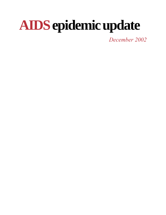# **AIDSepidemic update**

*December 2002*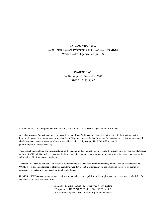#### UNAIDS/WHO - 2002 Joint United Nations Programme on HIV/AIDS (UNAIDS) World Health Organization (WHO)

UNAIDS/02.46E (English original, December 2002) ISBN 92-9173-253-2

© Joint United Nations Programme on HIV/AIDS (UNAIDS) and World Health Organization (WHO) 2002

All rights reserved. Publications jointly produced by UNAIDS and WHO can be obtained from the UNAIDS Information Centre. Requests for permission to reproduce or translate UNAIDS publications—whether for sale or for noncommercial distribution—should also be addressed to the Information Centre at the address below, or by fax, at +41 22 791 4187, or e-mail: publicationpermissions@unaids.org.

The designations employed and the presentation of the material in this publication do not imply the expression of any opinion whatsoever on the part of UNAIDS or WHO concerning the legal status of any country, territory, city or area or of its authorities, or concerning the delimitation of its frontiers or boundaries.

The mention of specific companies or of certain manufacturers' products does not imply that they are endorsed or recommended by UNAIDS or WHO in preference to others of a similar nature that are not mentioned. Errors and omissions excepted, the names of proprietary products are distinguished by initial capital letters.

UNAIDS and WHO do not warrant that the information contained in this publication is complete and correct and shall not be liable for any damages incurred as a result of its use.

> UNAIDS - 20 avenue Appia - 1211 Geneva 27 - Switzerland Telephone: (+41) 22 791 36 66 - Fax: (+41) 22 791 41 87 E-mail: unaids@unaids.org - Internet: http:/www.unaids.or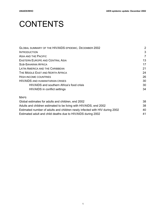# **CONTENTS**

| GLOBAL SUMMARY OF THE HIV/AIDS EPIDEMIC, DECEMBER 2002 | 2  |
|--------------------------------------------------------|----|
| <b>INTRODUCTION</b>                                    | 3  |
| ASIA AND THE PACIFIC                                   | 7  |
| EASTERN EUROPE AND CENTRAL ASIA                        | 13 |
| <b>SUB-SAHARAN AFRICA</b>                              | 17 |
| LATIN AMERICA AND THE CARIBBEAN                        | 21 |
| THE MIDDLE EAST AND NORTH AFRICA                       | 24 |
| <b>HIGH-INCOME COUNTRIES</b>                           | 26 |
| <b>HIV/AIDS AND HUMANITARIAN CRISES</b>                | 30 |
| HIV/AIDS and southern Africa's food crisis             | 30 |
| HIV/AIDS in conflict settings                          | 34 |

#### MAPS

| Global estimates for adults and children, end 2002                          | 38 |
|-----------------------------------------------------------------------------|----|
| Adults and children estimated to be living with HIV/AIDS, end 2002          | 38 |
| Estimated number of adults and children newly infected with HIV during 2002 | 40 |
| Estimated adult and child deaths due to HIV/AIDS during 2002                | 41 |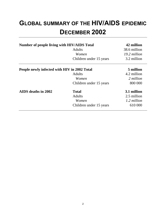# **GLOBAL SUMMARY OF THE HIV/AIDS EPIDEMIC DECEMBER 2002**

| <b>Number of people living with HIV/AIDS Total</b> | <b>Adults</b><br>Women<br>Children under 15 years | 42 million<br>38.6 million<br>19.2 million<br>3.2 million |
|----------------------------------------------------|---------------------------------------------------|-----------------------------------------------------------|
| People newly infected with HIV in 2002 Total       |                                                   | 5 million                                                 |
|                                                    | <b>Adults</b>                                     | 4.2 million                                               |
|                                                    | Women                                             | 2 million                                                 |
|                                                    | Children under 15 years                           | 800 000                                                   |
| AIDS deaths in 2002                                | <b>Total</b>                                      | 3.1 million                                               |
|                                                    | <b>Adults</b>                                     | 2.5 million                                               |
|                                                    | Women                                             | 1.2 million                                               |
|                                                    | Children under 15 years                           | 610 000                                                   |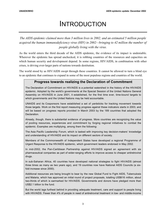# INTRODUCTION

*The AIDS epidemic claimed more than 3 million lives in 2002, and an estimated 5 million people acquired the human immunodeficiency virus (HIV) in 2002—bringing to 42 million the number of people globally living with the virus.*

As the world enters the third decade of the AIDS epidemic, the evidence of its impact is undeniable. Wherever the epidemic has spread unchecked, it is robbing countries of the resources and capacities on which human security and development depend. In some regions, HIV/AIDS, in combination with other crises, is driving ever-larger parts of nations towards destitution.

The world stood by as HIV/AIDS swept through these countries. It cannot be allowed to turn a blind eye to an epidemic that continues to expand in some of the most populous regions and countries of the world.

#### **Progress towards realizing the Declaration of Commitment**

The Declaration of Commitment on HIV/AIDS is a potential watershed in the history of the HIV/AIDS epidemic. Adopted by the world's governments at the Special Session of the United Nations General Assembly on HIV/AIDS in June 2001, it established, for the first time ever, time-bound targets to which governments and the United Nations may be held accountable.

UNAIDS and its Cosponsors have established a set of yardsticks for tracking movement towards those targets. Work on the first report measuring progress against these indicators starts in 2003, and will be based on progress reports provided in March 2003 by the 189 countries that adopted the Declaration.

Already, though, there is substantial evidence of progress. More countries are recognizing the value of pooling resources, experiences and commitment by forging regional initiatives to combat the epidemic. Examples are multiplying, among them the following:

The Asia Pacific Leadership Forum, which is tasked with improving key decision-makers' knowledge and understanding of HIV/AIDS and its impact on different sectors of society.

Members of the Commonwealth of Independent States have developed a regional Programme of Urgent Response to the HIV/AIDS epidemic, which government leaders endorsed in May 2002.

In mid-2002, the Pan-Caribbean Partnership against HIV/AIDS signed an agreement with six pharmaceutical companies as part of wider-ranging efforts to improve access to cheaper antiretroviral drugs.

In sub-Saharan Africa, 40 countries have developed national strategies to fight HIV/AIDS (almost three times as many as two years ago), and 19 countries now have National AIDS Councils (a sixfold increase since 2000).

Additional resources are being brought to bear by the new Global Fund to Fight AIDS, Tuberculosis and Malaria, which has approved an initial round of project proposals, totalling US\$616 million, about two-thirds of which is earmarked for HIV/AIDS. Governments and donors have pledged more than US\$2.1 billion to the fund.

But the world lags furthest behind in providing adequate treatment, care and support to people living with HIV/AIDS. Fewer than 4% of people in need of antiretroviral treatment in low- and middle-income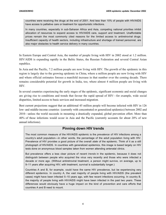countries were receiving the drugs at the end of 2001. And less than 10% of people with HIV/AIDS have access to palliative care or treatment for opportunistic infections.

In many countries, especially in sub-Saharan Africa and Asia, competing national priorities inhibit allocation of resources to expand access to HIV/AIDS care, support and treatment. Unaffordable prices remain the most commonly cited reasons for the limited access to antiretroviral drugs. Insufficient capacity of health sectors, including infrastructure and shortage of trained personnel, are also major obstacles to health service delivery in many countries.

In Eastern Europe and Central Asia, the number of people living with HIV in 2002 stood at 1.2 million. HIV/AIDS is expanding rapidly in the Baltic States, the Russian Federation and several Central Asian republics.

In Asia and the Pacific, 7.2 million people are now living with HIV. The growth of the epidemic in this region is largely due to the growing epidemic in China, where a million people are now living with HIV and where official estimates foresee a manifold increase in that number over the coming decade. There remains considerable potential for growth in India, too, where almost 4 million people are living with HIV.

In several countries experiencing the early stages of the epidemic, significant economic and social changes are giving rise to conditions and trends that favour the rapid spread of HIV—for example, wide social disparities, limited access to basic services and increased migration.

Best current projections suggest that an additional 45 million people will become infected with HIV in 126 low- and middle-income countries (currently with concentrated or generalized epidemics) between 2002 and 2010—unless the world succeeds in mounting a drastically expanded, global prevention effort. More than 40% of those infections would occur in Asia and the Pacific (currently accounts for about 20% of new annual infections).

#### **Pinning down HIV trends**

The most common measure of the HIV/AIDS epidemic is the *prevalence* of HIV infections among a country's adult population—in other words, the percentage of the adult population living with HIV. Prevalence of HIV provides a good picture of the overall *state* of the epidemic. Think of it as a still photograph of HIV/AIDS. In countries with generalized epidemics, this image is based largely on HIV tests done on anonymous blood samples taken from women attending antenatal clinics.

But prevalence offers a less clear picture of recent *trends* in the epidemic, because it does not distinguish between people who acquired the virus very recently and those who were infected a decade or more ago. (Without antiretroviral treatment, a person might survive, on average, up to 9–11 years after acquiring HIV; with treatment, survival is substantially longer.)

Countries A and B, for example, could have the same HIV prevalence, but be experiencing very different epidemics. In country A, the vast majority of people living with HIV/AIDS (the prevalent cases) might have been infected 5–10 years ago, with few recent infections occurring. In country B, the majority of people living with HIV/AIDS might have been infected in the past two years. These differences would obviously have a huge impact on the kind of prevention and care efforts that countries A and B need to mount.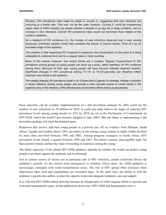Similarly, HIV prevalence rates might be stable in country C, suggesting that new infections are occurring at a stable rate. That may not be the case, however. Country C could be experiencing higher rates of AIDS mortality (as people infected a decade or so ago die in large numbers), and an *increase* in new infections. Overall HIV prevalence rates would not illuminate those details of the country's epidemic.

So a measure of HIV *incidence* (i.e. the number of new infections observed over a year among previously uninfected people) would help complete the picture of current trends. Think of it as an animated image of the epidemic.

The problem is that measuring HIV incidence is expensive and complicated—to the point of it being unfeasible at a national level and on a regular basis in most countries.

None of this means, however, that recent trends are a mystery. Regular measurement of HIV prevalence among groups of young people can serve as a proxy, albeit imperfect, for HIV incidence among them. Because of their age, young people will have become infected relatively recently. Significant changes in HIV prevalence among 15–19- or 15–24-year-olds can therefore reflect important new trends in the epidemic.

The steadily dropping HIV prevalence levels in 15–19-year-olds in Uganda, for example, indicate a reduction in recent infections among young people, and provide a more accurate picture of current trends in the epidemic (and, in this instance, of the effectiveness of prevention efforts among young people).

Such outcomes can be avoided. Implementation of a full prevention package by 2005 could cut the number of new infections by 29 million by 2010. It could also help achieve the target of reducing HIV prevalence levels among young people by 25% by 2010 (as set in the Declaration of Commitment on HIV/AIDS, which the world's governments adopted in June 2001). But any delay in implementing a full prevention package will slash the potential gains.

Responses that involve and treat young people as a priority pay off, as evidence from Ethiopia, South Africa, Uganda and Zambia shows. HIV prevalence levels among young women in Addis Ababa declined by more than one-third between 1995 and 2001. Among pregnant teenagers in South Africa, HIV prevalence levels shrank a quarter between 1998 and 2001. Prevalence remains unacceptably high, but these positive trends confirm the value of investing in responses among the young.

The future trajectory of the global HIV/AIDS epidemic depends on whether the world can protect young people everywhere against the epidemic and its aftermath.

Just as certain sectors of society are at particular risk of HIV infection, certain conditions favour the epidemic's growth. As the current food emergencies in southern Africa show, the AIDS epidemic is increasingly entangled with wider humanitarian crises. The risk of HIV spread often increases when desperation takes hold and communities are wrenched apart. At the same time, the ability to stall the epidemic's growth also suffers, as does the capacity to provide adequate treatment, care and support.

It is vital that HIV/AIDS-related activities become an integral part of wider-ranging efforts to prevent and overcome humanitarian crises, as this publication shows (see 'HIV/AIDS and humanitarian crises').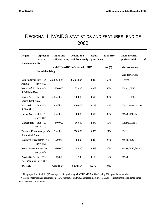# REGIONAL HIV/AIDS STATISTICS AND FEATURES, END OF 2002

| <b>Region</b>                    | Epidemic                                    | <b>Adults and</b> | <b>Adults and</b>               | <b>Adult</b> | $%$ of HIV- | Main mode(s)          |  |
|----------------------------------|---------------------------------------------|-------------------|---------------------------------|--------------|-------------|-----------------------|--|
|                                  | started                                     | children living   | children newly                  | prevalence   |             | positive adults<br>of |  |
| transmission $(H)$               |                                             |                   |                                 |              |             |                       |  |
|                                  |                                             |                   | with HIV/AIDS infected with HIV |              | rate $(*)$  | who are women         |  |
|                                  | for adults living                           |                   |                                 |              |             |                       |  |
|                                  |                                             |                   |                                 |              |             | with HIV/AIDS         |  |
| Sub-Saharan late '70s            |                                             | 29.4 million      | 3.5 million                     | 8.8%         | 58%         | Hetero                |  |
| Africa                           | early '80s                                  |                   |                                 |              |             |                       |  |
| <b>North Africa</b> late '80s    |                                             | 550 000           | 83 000                          | 0.3%         | 55%         | Hetero, IDU           |  |
| & Middle East                    |                                             |                   |                                 |              |             |                       |  |
| South $\&$                       | late '80s                                   | 6.0 million       | 700 000                         | 0.6%         | 36%         | Hetero, IDU           |  |
| <b>South-East Asia</b>           |                                             |                   |                                 |              |             |                       |  |
| <b>East Asia</b>                 | late '80s                                   | 1.2 million       | 270 000                         | 0.1%         | 24%         | IDU, hetero, MSM      |  |
| & Pacific                        |                                             |                   |                                 |              |             |                       |  |
| <b>Latin Americalate '70s</b>    |                                             | 1.5 million       | 150 000                         | 0.6%         | 30%         | MSM, IDU, hetero      |  |
|                                  | early '80s                                  |                   |                                 |              |             |                       |  |
| Caribbean                        | late $'70s$                                 | 440 000           | 60 000                          | 2.4%         | 50%         | Hetero, MSM           |  |
|                                  | early '80s                                  |                   |                                 |              |             |                       |  |
|                                  | <b>Eastern Europeearly '90s 1.2 million</b> |                   | 250 000                         | 0.6%         | 27%         | IDU                   |  |
| & Central Asia                   |                                             |                   |                                 |              |             |                       |  |
|                                  | <b>Western Europelate '70s</b>              | 570 000           | 30 000                          | 0.3%         | 25%         | MSM, IDU              |  |
|                                  | early '80s                                  |                   |                                 |              |             |                       |  |
|                                  | <b>North Americalate '70s</b>               | 980 000           | 45 000                          | 0.6%         | 20%         | MSM, IDU, hetero      |  |
|                                  | early '80s                                  |                   |                                 |              |             |                       |  |
| <b>Australia &amp;</b> late '70s |                                             | 15 000            | 500                             | 0.1%         | 7%          | <b>MSM</b>            |  |
| New Zealandearly '80s            |                                             |                   |                                 |              |             |                       |  |
|                                  |                                             |                   |                                 |              |             |                       |  |
| <b>TOTAL</b>                     |                                             | 42 million        | 5 million                       | 1.2%         | 50%         |                       |  |

\* The proportion of adults (15 to 49 years of age) living with HIV/AIDS in 2002, using 2002 population numbers.

# Hetero (heterosexual transmission), IDU (transmission through injecting drug use), MSM (sexual transmission among men who have sex with men).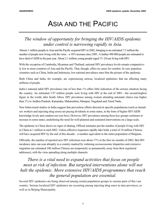# ASIA AND THE PACIFIC

## *The window of opportunity for bringing the HIV/AIDS epidemic under control is narrowing rapidly in Asia.*

Almost 1 million people in Asia and the Pacific acquired HIV in 2002, bringing to an estimated 7.2 million the number of people now living with the virus—a 10% increase since 2001. A further 490 000 people are estimated to have died of AIDS in the past year. About 2.1 million young people (aged 15–24) are living with HIV.

With the exception of Cambodia, Myanmar and Thailand, national HIV prevalence levels remain comparatively low in most countries of Asia and the Pacific. That, though, offers no cause for comfort. In vast, populous countries such as China, India and Indonesia, low national prevalence rates blur the picture of the epidemic.

Both China and India, for example, are experiencing serious, localized epidemics that are affecting many millions of people.

India's national adult HIV prevalence rate of less than 1% offers little indication of the serious situation facing the country. An estimated 3.97 million people were living with HIV at the end of 2001—the second-highest figure in the world, after South Africa. HIV prevalence among women attending antenatal clinics was higher than 1% in Andhra Pradesh, Karnataka, Maharashtra, Manipur, Nagaland and Tamil Nadu.

New behavioural studies in India suggest that prevention efforts directed at specific populations (such as female sex workers and injecting drug users) are paying dividends in some states, in the form of higher HIV/AIDS knowledge levels and condom use (see box). However, HIV prevalence among these key groups continues to increase in some states, underlining the need for well-planned and sustained interventions on a large scale.

The epidemic in China shows no signs of abating. Official estimates put the number of people living with HIV in China at 1 million in mid-2002. Unless effective responses rapidly take hold, a total of 10 million Chinese will have acquired HIV by the end of this decade—a number equivalent to the entire population of Belgium.

Officially, the number of reported new HIV infections rose about 17% in the first six months of 2002. But HIV incidence rates can soar abruptly in a country marked by widening socioeconomic disparities and extensive migration (an estimated 100 million Chinese are temporarily or permanently away from their registered addresses), with the virus spreading along multiple channels.

## *There is a vital need to expand activities that focus on people most at risk of infection. But targeted interventions alone will not halt the epidemic. More extensive HIV/AIDS programmes that reach the general population are essential.*

Several HIV epidemics are being observed among certain population groups in various parts of this vast country. Serious localized HIV epidemics are occurring among injecting drug users in nine provinces, as well as in Beijing Municipality.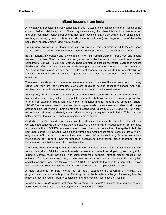#### **Mixed lessons from India**

A new national behavioural survey conducted in 2001–2002 in India highlights important facets of the country's bid to curtail its epidemic. The survey shows clearly that where interventions have occurred and been sustained, behavioural change has been possible. But it also points to the difficulties in reaching some key groups (such as men who have sex with men), and large sections of the wider population (notably women living in rural areas).

Countrywide, awareness of HIV/AIDS is high, with roughly three-quarters of adult Indians (aged 15–49) aware that correct and consistent condom use can prevent sexual transmission of HIV.

But, in general, awareness and knowledge of HIV/AIDS remain weak in rural areas and among women. More than 80% of urban men recognized the protective value of consistent condom use, compared to just over 43% of rural women. There are marked exceptions, though, such as in Andhra Pradesh and Kerala, where awareness levels among women and men are approximately the same. Yet, even in those states, women report low levels of condom use (37% and 22%, respectively)—an indication that many are not able to negotiate safer sex with male partners. The gender divide remains wide.

The survey data show that Indians who cannot read are six times less likely to use a condom during casual sex than are their compatriots who are educated beyond secondary school. And rural residents are half as likely as their urban peers to use a condom with casual partners.

Striking, too, are the high levels of awareness and knowledge about HIV/AIDS, and the evidence of high condom use among vulnerable populations in states that have mounted consistent prevention efforts. For example, Maharashtra is home to a longstanding, generalized epidemic. There, HIV/AIDS responses appear to have resulted in higher levels of awareness and behavioural change among female sex workers, their clients and injecting drug users (66%, 77% and 52% of whom, respectively, said they consistently use condoms—among the highest rates in India). This may have helped prevent the state's epidemic from spinning out of control.

Similarly, Gujarat's focused programmes have helped ensure that some three-quarters of female sex workers used condoms the last time they had sex with a commercial or casual partner. But the state also reminds that HIV/AIDS responses have to reach the wider population if the epidemic is to be kept under control. (Knowledge levels among women and rural inhabitants, for example, are very low: only about 8% had no misconceptions about how HIV is transmitted.) By contrast, where interventions for general *and* marginalized populations have taken place together—as in Kerala—they have helped keep HIV prevalence low.

The survey shows that a significant proportion of men who have sex with men in India also have sex with women (almost 31% had sex with female partners in a six-month recall period), and many (36% during a month's recall) have sex with commercial male partners—hitherto hidden facets of the epidemic. Condom use rates, though, were low both with commercial partners (39% during last sexual intercourse) and with female partners (36%). This points to the need for urgent action, given the potential for wider and more rapid HIV spread through such multiple sexual networks.

A major challenge for India now is that of rapidly expanding the coverage of its HIV/AIDS programmes to all vulnerable groups. Flanking that is the broader challenge of ensuring that the response reaches young, illiterate populations and rural communities, especially women.

*(Based on Nationwide Behavioural Surveillance Survey of general population and high-risk groups, 2001–2002, National AIDS Control Organization, India/ORG MARG)*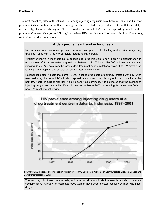The most recent reported outbreaks of HIV among injecting drug users have been in Hunan and Guizhou provinces (where sentinel surveillance among users has revealed HIV prevalence rates of 8% and 14%, respectively). There are also signs of heterosexually transmitted HIV epidemics spreading in at least three provinces (Yunnan, Guangxi and Guangdong) where HIV prevalence in 2000 was as high as 11% among sentinel sex worker populations.

#### **A dangerous new trend in Indonesia**

Recent social and economic upheavals in Indonesia appear to be fuelling a sharp rise in injecting drug use—and, with it, the risk of rapidly increasing HIV spread.

Virtually unknown in Indonesia just a decade ago, drug injection is now a growing phenomenon in urban areas. Official estimates suggest that between 124 000 and 196 000 Indonesians are now injecting drugs. And data from the largest drug treatment centre in Jakarta reveal that HIV prevalence is rising very steeply in this population, as the graph below shows.

National estimates indicate that some 43 000 injecting drug users are already infected with HIV. With needle-sharing the norm, HIV is likely to spread much more widely throughout this population in the next few years. If current high-risk injecting behaviour continues, it is estimated that the number of injecting drug users living with HIV could almost double in 2003, accounting for more than 80% of new HIV infections nationwide.



*Source:* RSKO hospital and Indonesian Ministry of Health, Directorate General of Communicable Disease Control and Environmental Health, 2002.

The vast majority of injectors are male, and behavioural data indicate that over two-thirds of them are sexually active. Already, an estimated 9000 women have been infected sexually by men who inject drugs.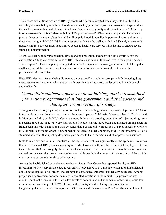The onward sexual transmission of HIV by people who became infected when they sold their blood to collecting centres that ignored basic blood-donation safety procedures poses a massive challenge, as does the need to provide them with treatment and care. Signalling the gravity of the situation, one 2001 survey in rural eastern China found alarmingly high HIV prevalence—12.5%—among people who had donated plasma. Most of the country's estimated 3 million paid blood donors live in poor rural communities, and those now living with HIV/AIDS in provinces such as Henan (as well as Anhui and Shanxi, where similar tragedies might have occurred) face limited access to health-care services while having to endure severe stigma and discrimination.

There is a clear need for urgent action. By expanding prevention, treatment and care efforts across the entire nation, China can avert millions of HIV infections and save millions of lives in the coming decade. The five-year AIDS action plan promulgated in mid-2001 signalled a growing commitment to take up that challenge, as did the recent moves towards negotiating affordable antiretroviral treatment with pharmaceutical companies.

High HIV infection rates are being discovered among specific population groups (chiefly injecting drug users, sex workers, and men who have sex with men) in countries across the length and breadth of Asia and the Pacific.

### *Cambodia's epidemic appears to be stabilizing, thanks to sustained prevention programmes that link government and civil society and that span various sectors of society.*

Throughout the region, injecting drug use offers the epidemic huge scope for growth. Upwards of 50% of injecting drug users already have acquired the virus in parts of Malaysia, Myanmar, Nepal, Thailand and in Manipur in India, while HIV infections among Indonesia's growing population of injecting drug users is soaring (see box, page 9). Very high rates of needle-sharing have been documented among users in Bangladesh and Viet Nam, along with evidence that a considerable proportion of street-based sex workers in Viet Nam also inject drugs (a phenomenon detected in other countries, too). If the epidemic is to be stemmed, it is vital that injecting drug users gain access to harm reduction and other prevention services.

Male-to-male sex occurs in all countries of the region and features significantly in the epidemic. Countries that have measured HIV prevalence among men who have sex with men have found it to be high—14% in Cambodia in 2000 and roughly the same level among male Thai sex workers. Homophobia or dominant cultural norms mean that many men who have sex with men hide that aspect of their sexuality. Many might marry or have sexual relationships with women.

Among the Pacific Island countries and territories, Papua New Guinea has reported the highest HIV infection rates. New surveillance data reveal an HIV prevalence of 1% among women attending antenatal clinics in the capital Port Moresby, indicating that a broadened epidemic is under way in the city. Among people seeking treatment for other sexually transmitted infections in the capital, HIV prevalence was 7% in 2001 (double the level in 2000). Very low levels of condom use and wide sexual networking (amid low awareness and knowledge of HIV/AIDS) mean the country could be facing a severe epidemic. Heightening that prospect are findings that 85% of surveyed sex workers in Port Moresby and in Lae did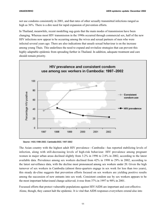not use condoms consistently in 2001, and that rates of other sexually transmitted infections ranged as high as  $36\%$ . There is a dire need for rapid expansion of prevention efforts.

In Thailand, meanwhile, recent modelling sug-gests that the main modes of transmission have been changing. Whereas most HIV transmission in the 1990s occurred through commercial sex, half of the new HIV infections now appear to be occurring among the wives and sexual partners of men who were infected several years ago. There are also indications that unsafe sexual behaviour is on the increase among young Thais. This underlines the need to expand and revitalize strategies that can prevent this highly adaptable epidemic from spreading further in Thailand. In addition, adequate treatment and care should remain priority.



Source : HSS, 1998-2002. Cambodia BSS, 1997-2002

The Asian country with the highest adult HIV prevalence—Cambodia—has reported stabilizing levels of infection, along with still-decreasing levels of high-risk behaviour. HIV prevalence among pregnant women in major urban areas declined slightly from 3.2% in 1996 to 2.8% in 2002, according to the latest available data. Prevalence among sex workers declined from 42% in 1998 to 29% in 2002, according to the latest surveillance data, with the decline most pronounced among sex workers under 20. Given the high turnover of sex workers in Cambodia (almost three-quarters engage in sex work for less than two years), this steady de-cline suggests that prevention efforts focused on sex workers are yielding positive results among the succession of new entrants into sex work. Consistent condom use by sex workers appears to be the most important behavioural change achieved; it rose from 37% in 1997 to 90% in 2001.

Focussed efforts that protect vulnerable populations against HIV/AIDS are important and cost-effective. Alone, though, they cannot halt the epidemic. It is vital that AIDS responses everywhere extend also into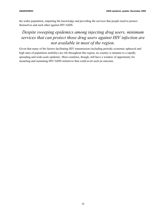the wider population, imparting the knowledge and providing the services that people need to protect themselves and each other against HIV/AIDS.

## *Despite sweeping epidemics among injecting drug users, minimum services that can protect those drug users against HIV infection are not available in most of the region.*

Given that many of the factors facilitating HIV transmission (including periodic economic upheaval and high rates of population mobility) are rife throughout this region, no country is immune to a rapidly spreading and wide-scale epidemic. Most countries, though, still have a window of opportunity for mounting and sustaining HIV/AIDS initiatives that could avert such an outcome.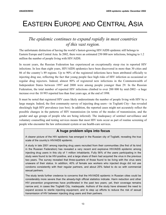# EASTERN EUROPE AND CENTRAL ASIA

### *The epidemic continues to expand rapidly in most countries of this vast region.*

The unfortunate distinction of having the world's fastest-growing HIV/AIDS epidemic still belongs to Eastern Europe and Central Asia. In 2002, there were an estimated 250 000 new infections, bringing to 1.2 million the number of people living with HIV/AIDS.

In recent years, the Russian Federation has experienced an exceptionally steep rise in reported HIV infections. In less than eight years, HIV/AIDS epidemics have been discovered in more than 30 cities and 86 of the country's 89 regions. Up to 90% of the registered infections have been attributed officially to injecting drug use, reflecting the fact that young people face high risks of HIV infection as occasional or regular drug injectors. Indeed, almost 80% of registered new infections in the Commonwealth of Independent States between 1997 and 2000 were among people younger than 29. In the Russian Federation, the total number of reported HIV infections climbed to over 200 000 by mid-2002—a huge increase over the 10 993 reported less than four years ago, at the end of 1998.

It must be noted that registered HIV cases likely underestimate the number of people living with HIV by a large margin. Indeed, the first community survey of injecting drug users—in Togliatti City—has revealed shockingly high HIV prevalence (see box). In addition, the reported cases might not accurately reflect the possible changes in the patterns of HIV transmission (in terms of the modes of transmission, and the gender and age groups of people who are being infected). The inadequacy of sentinel surveillance and voluntary counselling and testing services means that most HIV tests occur as part of routine screening of people who encounter the law enforcement system or use health-care services.

#### **A huge problem slips into focus**

A clearer picture of the HIV epidemic has emerged in the Russian city of Togliatti, revealing the true scale of the country's HIV/AIDS epidemic.

A study in late 2001 among injecting drug users recruited from their communities (the first of its kind in the Russian Federation) has revealed a very recent and explosive HIV/AIDS epidemic among injecting drug users in this city of 1 million inhabitants. Fully 56% of the users participating in the study were found to be HIV-positive, and a large share of them had acquired the virus in the previous two years. The survey revealed that three-quarters of those found to be living with the virus were unaware of their status. In addition, 40% of female sex workers who injected drugs did not use condoms consistently with their regular partners, and about 25% failed to do so with commercial sexual partners.

The study lends further credence to concerns that the HIV/AIDS epidemic in Russian cities could be considerably more severe than the already-high official statistics indicate. Harm reduction and other HIV prevention programmes have proliferated in the past two years; yet, their coverage remains narrow and, in cases like Togliatti City, inadequate. Authors of the study have stressed the need to expand access to sterile injecting equipment, and to step up efforts to reduce the risk of sexual transmission of HIV between injecting drug users and their partners.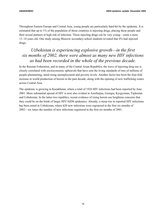Throughout Eastern Europe and Central Asia, young people are particularly hard-hit by the epidemic. It is estimated that up to 1% of the population of those countries is injecting drugs, placing these people and their sexual partners at high risk of infection. Those injecting drugs can be very young—some a mere 13–14 years old. One study among Moscow secondary-school students revealed that 4% had injected drugs.

### *Uzbekistan is experiencing explosive growth—in the first six months of 2002, there were almost as many new HIV infections as had been recorded in the whole of the previous decade.*

In the Russian Federation, and in many of the Central Asian Republics, the wave of injecting drug use is closely correlated with socioeconomic upheavals that have sent the living standards of tens of millions of people plummeting, amid rising unemployment and poverty levels. Another factor has been the four-fold increase in world production of heroin in the past decade, along with the opening of new trafficking routes across Central Asia.

The epidemic is growing in Kazakhstan, where a total of 1926 HIV infections had been reported by June 2001. More substantial spread of HIV is now also evident in Azerbaijan, Georgia, Kyrgyzstan, Tajikistan and Uzbekistan. In the latter two republics, recent evidence of rising heroin use heightens concerns that they could be on the brink of larger HIV/AIDS epidemics. Already, a steep rise in reported HIV infections has been noted in Uzbekistan, where 620 new infections were registered in the first six months of 2002—six times the number of new infections registered in the first six months of 2001.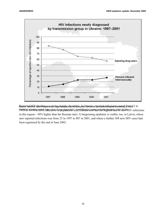

Reported HIV incidence is rising sharply elsewhere. In Estonia, reported infections soared from 12 in *Source:* National AIDS Programmes. Data compiled by the European Centre for the Epidemiological Monitoring of AIDS. HIVIYIFS SUIPUI INCLONF!!(RELATIVE/tropopulatiON size;!ENOHNa&hInstiHasGNeiHn§HEistiFat2OOF nEw9HIV infections in this region—50% higher than the Russian rate). A burgeoning epidemic is visible, too, in Latvia, where new reported infections rose from 25 in 1997 to 807 in 2001, and where a further 308 new HIV cases had been registered by the end of June 2002.